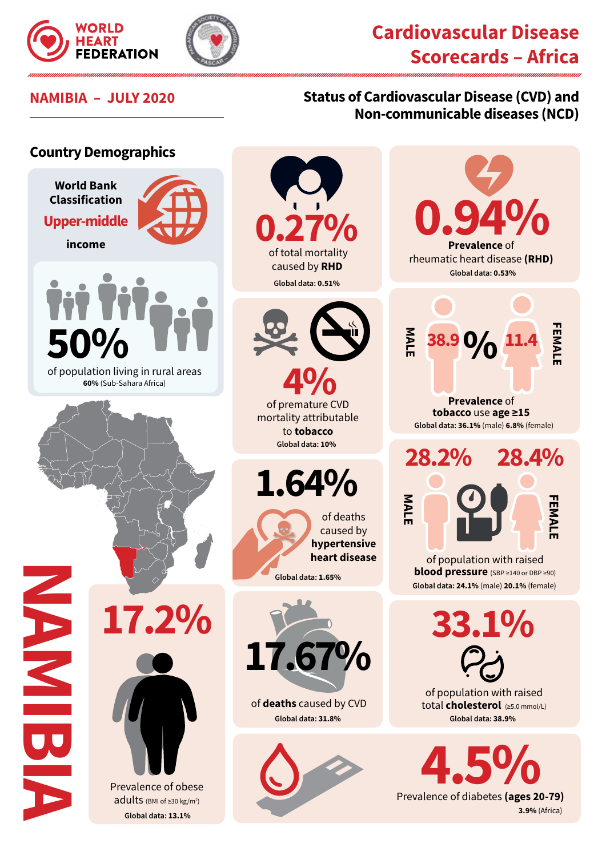



# **Cardiovascular Disease Scorecards – Africa**

### **NAMIBIA – JULY 2020 Status of Cardiovascular Disease (CVD) and Non-communicable diseases (NCD)**

#### **Country Demographics**





**Prevalence of diabetes (ages 20-79) 3.9%** (Africa)